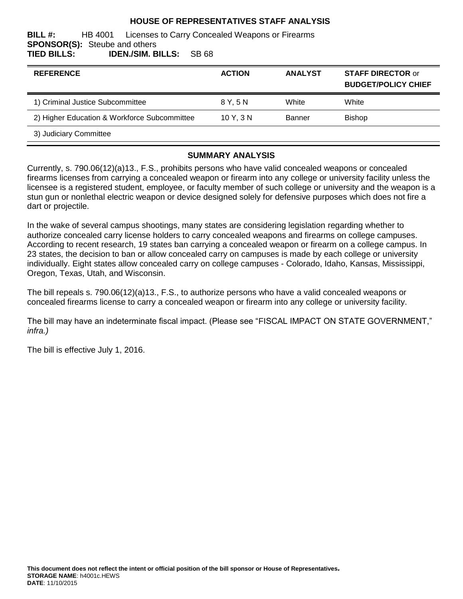### **HOUSE OF REPRESENTATIVES STAFF ANALYSIS**

**BILL #:** HB 4001 Licenses to Carry Concealed Weapons or Firearms **SPONSOR(S):** Steube and others **TIED BILLS: IDEN./SIM. BILLS:** SB 68

| <b>REFERENCE</b>                             | <b>ACTION</b> | <b>ANALYST</b> | <b>STAFF DIRECTOR or</b><br><b>BUDGET/POLICY CHIEF</b> |
|----------------------------------------------|---------------|----------------|--------------------------------------------------------|
| 1) Criminal Justice Subcommittee             | 8 Y. 5 N      | White          | White                                                  |
| 2) Higher Education & Workforce Subcommittee | 10Y, 3N       | <b>Banner</b>  | <b>Bishop</b>                                          |
| 3) Judiciary Committee                       |               |                |                                                        |

#### **SUMMARY ANALYSIS**

Currently, s. 790.06(12)(a)13., F.S., prohibits persons who have valid concealed weapons or concealed firearms licenses from carrying a concealed weapon or firearm into any college or university facility unless the licensee is a registered student, employee, or faculty member of such college or university and the weapon is a stun gun or nonlethal electric weapon or device designed solely for defensive purposes which does not fire a dart or projectile.

In the wake of several campus shootings, many states are considering legislation regarding whether to authorize concealed carry license holders to carry concealed weapons and firearms on college campuses. According to recent research, 19 states ban carrying a concealed weapon or firearm on a college campus. In 23 states, the decision to ban or allow concealed carry on campuses is made by each college or university individually. Eight states allow concealed carry on college campuses - Colorado, Idaho, Kansas, Mississippi, Oregon, Texas, Utah, and Wisconsin.

The bill repeals s. 790.06(12)(a)13., F.S., to authorize persons who have a valid concealed weapons or concealed firearms license to carry a concealed weapon or firearm into any college or university facility.

The bill may have an indeterminate fiscal impact. (Please see "FISCAL IMPACT ON STATE GOVERNMENT," *infra.)*

The bill is effective July 1, 2016.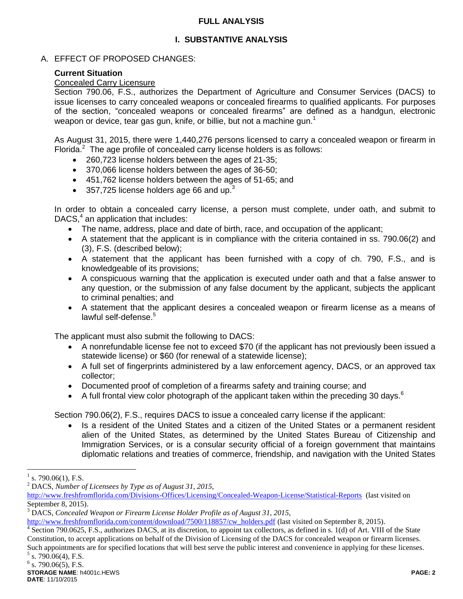### **FULL ANALYSIS**

# **I. SUBSTANTIVE ANALYSIS**

## A. EFFECT OF PROPOSED CHANGES:

## **Current Situation**

## Concealed Carry Licensure

Section 790.06, F.S., authorizes the Department of Agriculture and Consumer Services (DACS) to issue licenses to carry concealed weapons or concealed firearms to qualified applicants. For purposes of the section, "concealed weapons or concealed firearms" are defined as a handgun, electronic weapon or device, tear gas gun, knife, or billie, but not a machine gun.<sup>1</sup>

As August 31, 2015, there were 1,440,276 persons licensed to carry a concealed weapon or firearm in Florida. $2$  The age profile of concealed carry license holders is as follows:

- 260,723 license holders between the ages of 21-35;
- 370,066 license holders between the ages of 36-50;
- 451,762 license holders between the ages of 51-65; and
- 357,725 license holders age 66 and up. $3$

In order to obtain a concealed carry license, a person must complete, under oath, and submit to DACS, $4$  an application that includes:

- The name, address, place and date of birth, race, and occupation of the applicant;
- A statement that the applicant is in compliance with the criteria contained in ss. 790.06(2) and (3), F.S. (described below);
- A statement that the applicant has been furnished with a copy of ch. 790, F.S., and is knowledgeable of its provisions;
- A conspicuous warning that the application is executed under oath and that a false answer to any question, or the submission of any false document by the applicant, subjects the applicant to criminal penalties; and
- A statement that the applicant desires a concealed weapon or firearm license as a means of lawful self-defense.<sup>5</sup>

The applicant must also submit the following to DACS:

- A nonrefundable license fee not to exceed \$70 (if the applicant has not previously been issued a statewide license) or \$60 (for renewal of a statewide license);
- A full set of fingerprints administered by a law enforcement agency, DACS, or an approved tax collector;
- Documented proof of completion of a firearms safety and training course; and
- A full frontal view color photograph of the applicant taken within the preceding 30 days.<sup>6</sup>

Section 790.06(2), F.S., requires DACS to issue a concealed carry license if the applicant:

• Is a resident of the United States and a citizen of the United States or a permanent resident alien of the United States, as determined by the United States Bureau of Citizenship and Immigration Services, or is a consular security official of a foreign government that maintains diplomatic relations and treaties of commerce, friendship, and navigation with the United States

<sup>1</sup> s. 790.06(1), F.S.

<sup>2</sup> DACS, *Number of Licensees by Type as of August 31, 2015,*

<http://www.freshfromflorida.com/Divisions-Offices/Licensing/Concealed-Weapon-License/Statistical-Reports>(last visited on September 8, 2015).

<sup>3</sup> DACS, *Concealed Weapon or Firearm License Holder Profile as of August 31, 2015,*

[http://www.freshfromflorida.com/content/download/7500/118857/cw\\_holders.pdf](http://www.freshfromflorida.com/content/download/7500/118857/cw_holders.pdf) (last visited on September 8, 2015).

<sup>&</sup>lt;sup>4</sup> Section 790.0625, F.S., authorizes DACS, at its discretion, to appoint tax collectors, as defined in s. 1(d) of Art. VIII of the State Constitution, to accept applications on behalf of the Division of Licensing of the DACS for concealed weapon or firearm licenses. Such appointments are for specified locations that will best serve the public interest and convenience in applying for these licenses.

 $5$  s. 790.06(4), F.S.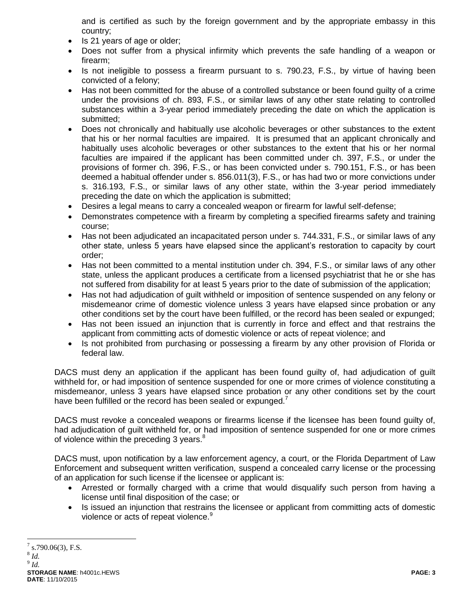and is certified as such by the foreign government and by the appropriate embassy in this country;

- Is 21 years of age or older;
- Does not suffer from a physical infirmity which prevents the safe handling of a weapon or firearm;
- Is not ineligible to possess a firearm pursuant to s. 790.23, F.S., by virtue of having been convicted of a felony;
- Has not been committed for the abuse of a controlled substance or been found guilty of a crime under the provisions of ch. 893, F.S., or similar laws of any other state relating to controlled substances within a 3-year period immediately preceding the date on which the application is submitted;
- Does not chronically and habitually use alcoholic beverages or other substances to the extent that his or her normal faculties are impaired. It is presumed that an applicant chronically and habitually uses alcoholic beverages or other substances to the extent that his or her normal faculties are impaired if the applicant has been committed under ch. 397, F.S., or under the provisions of former ch. 396, F.S., or has been convicted under s. 790.151, F.S., or has been deemed a habitual offender under s. 856.011(3), F.S., or has had two or more convictions under s. 316.193, F.S., or similar laws of any other state, within the 3-year period immediately preceding the date on which the application is submitted;
- Desires a legal means to carry a concealed weapon or firearm for lawful self-defense;
- Demonstrates competence with a firearm by completing a specified firearms safety and training course;
- Has not been adjudicated an incapacitated person under s. 744.331, F.S., or similar laws of any other state, unless 5 years have elapsed since the applicant's restoration to capacity by court order;
- Has not been committed to a mental institution under ch. 394, F.S., or similar laws of any other state, unless the applicant produces a certificate from a licensed psychiatrist that he or she has not suffered from disability for at least 5 years prior to the date of submission of the application;
- Has not had adjudication of guilt withheld or imposition of sentence suspended on any felony or misdemeanor crime of domestic violence unless 3 years have elapsed since probation or any other conditions set by the court have been fulfilled, or the record has been sealed or expunged;
- Has not been issued an injunction that is currently in force and effect and that restrains the applicant from committing acts of domestic violence or acts of repeat violence; and
- Is not prohibited from purchasing or possessing a firearm by any other provision of Florida or federal law.

DACS must deny an application if the applicant has been found guilty of, had adjudication of guilt withheld for, or had imposition of sentence suspended for one or more crimes of violence constituting a misdemeanor, unless 3 years have elapsed since probation or any other conditions set by the court have been fulfilled or the record has been sealed or expunged.<sup>7</sup>

DACS must revoke a concealed weapons or firearms license if the licensee has been found guilty of, had adjudication of guilt withheld for, or had imposition of sentence suspended for one or more crimes of violence within the preceding 3 years.<sup>8</sup>

DACS must, upon notification by a law enforcement agency, a court, or the Florida Department of Law Enforcement and subsequent written verification, suspend a concealed carry license or the processing of an application for such license if the licensee or applicant is:

- Arrested or formally charged with a crime that would disqualify such person from having a license until final disposition of the case; or
- Is issued an injunction that restrains the licensee or applicant from committing acts of domestic violence or acts of repeat violence.<sup>9</sup>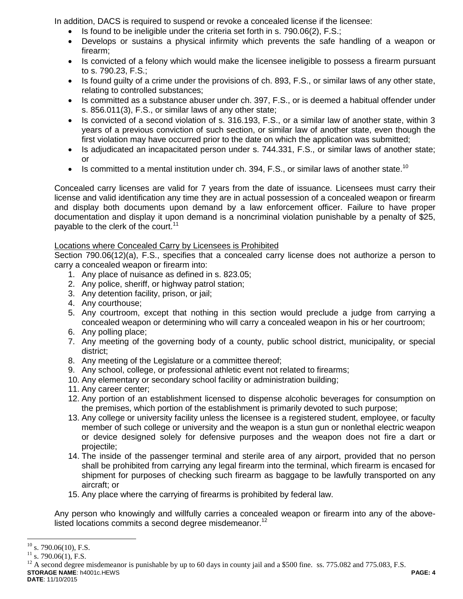In addition, DACS is required to suspend or revoke a concealed license if the licensee:

- Is found to be ineligible under the criteria set forth in s. 790.06(2), F.S.;
- Develops or sustains a physical infirmity which prevents the safe handling of a weapon or firearm;
- Is convicted of a felony which would make the licensee ineligible to possess a firearm pursuant to s. 790.23, F.S.;
- Is found guilty of a crime under the provisions of ch. 893, F.S., or similar laws of any other state, relating to controlled substances;
- Is committed as a substance abuser under ch. 397, F.S., or is deemed a habitual offender under s. 856.011(3), F.S., or similar laws of any other state;
- Is convicted of a second violation of s. 316.193, F.S., or a similar law of another state, within 3 years of a previous conviction of such section, or similar law of another state, even though the first violation may have occurred prior to the date on which the application was submitted;
- Is adjudicated an incapacitated person under s. 744.331, F.S., or similar laws of another state; or
- Is committed to a mental institution under ch. 394, F.S., or similar laws of another state.<sup>10</sup>

Concealed carry licenses are valid for 7 years from the date of issuance. Licensees must carry their license and valid identification any time they are in actual possession of a concealed weapon or firearm and display both documents upon demand by a law enforcement officer. Failure to have proper documentation and display it upon demand is a noncriminal violation punishable by a penalty of \$25, payable to the clerk of the court.<sup>11</sup>

## Locations where Concealed Carry by Licensees is Prohibited

Section 790.06(12)(a), F.S., specifies that a concealed carry license does not authorize a person to carry a concealed weapon or firearm into:

- 1. Any place of nuisance as defined in s. 823.05;
- 2. Any police, sheriff, or highway patrol station;
- 3. Any detention facility, prison, or jail;
- 4. Any courthouse;
- 5. Any courtroom, except that nothing in this section would preclude a judge from carrying a concealed weapon or determining who will carry a concealed weapon in his or her courtroom;
- 6. Any polling place;
- 7. Any meeting of the governing body of a county, public school district, municipality, or special district;
- 8. Any meeting of the Legislature or a committee thereof;
- 9. Any school, college, or professional athletic event not related to firearms;
- 10. Any elementary or secondary school facility or administration building;
- 11. Any career center;
- 12. Any portion of an establishment licensed to dispense alcoholic beverages for consumption on the premises, which portion of the establishment is primarily devoted to such purpose;
- 13. Any college or university facility unless the licensee is a registered student, employee, or faculty member of such college or university and the weapon is a stun gun or nonlethal electric weapon or device designed solely for defensive purposes and the weapon does not fire a dart or projectile;
- 14. The inside of the passenger terminal and sterile area of any airport, provided that no person shall be prohibited from carrying any legal firearm into the terminal, which firearm is encased for shipment for purposes of checking such firearm as baggage to be lawfully transported on any aircraft; or
- 15. Any place where the carrying of firearms is prohibited by federal law.

Any person who knowingly and willfully carries a concealed weapon or firearm into any of the abovelisted locations commits a second degree misdemeanor.<sup>12</sup>

 $10$ s. 790.06(10), F.S.

 $^{11}_{12}$  s. 790.06(1), F.S.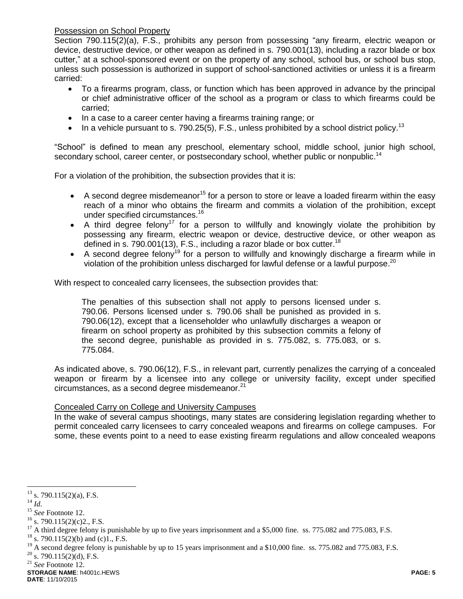Possession on School Property

Section 790.115(2)(a), F.S., prohibits any person from possessing "any firearm, electric weapon or device, destructive device, or other weapon as defined in s. 790.001(13), including a razor blade or box cutter," at a school-sponsored event or on the property of any school, school bus, or school bus stop, unless such possession is authorized in support of school-sanctioned activities or unless it is a firearm carried:

- To a firearms program, class, or function which has been approved in advance by the principal or chief administrative officer of the school as a program or class to which firearms could be carried;
- In a case to a career center having a firearms training range; or
- In a vehicle pursuant to s. 790.25(5), F.S., unless prohibited by a school district policy.<sup>13</sup>

"School" is defined to mean any preschool, elementary school, middle school, junior high school, secondary school, career center, or postsecondary school, whether public or nonpublic.<sup>14</sup>

For a violation of the prohibition, the subsection provides that it is:

- A second degree misdemeanor<sup>15</sup> for a person to store or leave a loaded firearm within the easy reach of a minor who obtains the firearm and commits a violation of the prohibition, except under specified circumstances.<sup>16</sup>
- A third degree felony<sup>17</sup> for a person to willfully and knowingly violate the prohibition by possessing any firearm, electric weapon or device, destructive device, or other weapon as defined in s. 790.001(13), F.S., including a razor blade or box cutter.<sup>18</sup>
- A second degree felony<sup>19</sup> for a person to willfully and knowingly discharge a firearm while in violation of the prohibition unless discharged for lawful defense or a lawful purpose.<sup>20</sup>

With respect to concealed carry licensees, the subsection provides that:

The penalties of this subsection shall not apply to persons licensed under s. 790.06. Persons licensed under s. 790.06 shall be punished as provided in s. 790.06(12), except that a licenseholder who unlawfully discharges a weapon or firearm on school property as prohibited by this subsection commits a felony of the second degree, punishable as provided in s. 775.082, s. 775.083, or s. 775.084.

As indicated above, s. 790.06(12), F.S., in relevant part, currently penalizes the carrying of a concealed weapon or firearm by a licensee into any college or university facility, except under specified circumstances, as a second degree misdemeanor. $21$ 

### Concealed Carry on College and University Campuses

In the wake of several campus shootings, many states are considering legislation regarding whether to permit concealed carry licensees to carry concealed weapons and firearms on college campuses. For some, these events point to a need to ease existing firearm regulations and allow concealed weapons

<sup>14</sup> *Id.*

 $13$  s. 790.115(2)(a), F.S.

<sup>15</sup> *See* Footnote 12.

 $16$  s. 790.115(2)(c)2., F.S.

<sup>&</sup>lt;sup>17</sup> A third degree felony is punishable by up to five years imprisonment and a \$5,000 fine. ss. 775.082 and 775.083, F.S.

<sup>&</sup>lt;sup>18</sup> s. 790.115(2)(b) and (c)1., F.S.

<sup>19</sup> A second degree felony is punishable by up to 15 years imprisonment and a \$10,000 fine. ss. 775.082 and 775.083, F.S.

 $20$  s. 790.115(2)(d), F.S.

<sup>21</sup> *See* Footnote 12.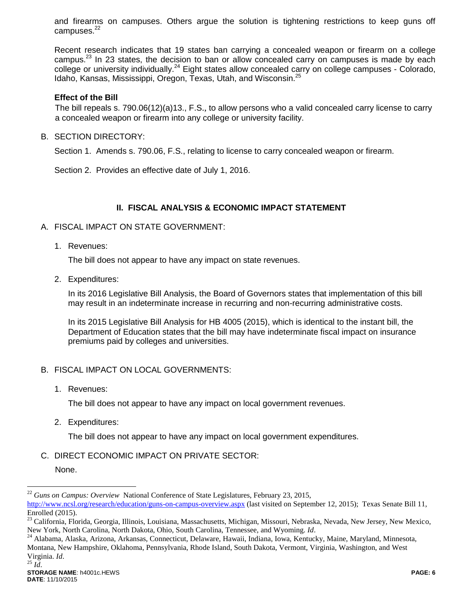and firearms on campuses. Others argue the solution is tightening restrictions to keep guns off campuses. $22$ 

Recent research indicates that 19 states ban carrying a concealed weapon or firearm on a college campus.<sup>23</sup> In 23 states, the decision to ban or allow concealed carry on campuses is made by each college or university individually.<sup>24</sup> Eight states allow concealed carry on college campuses - Colorado, Idaho, Kansas, Mississippi, Oregon, Texas, Utah, and Wisconsin.<sup>25</sup>

#### **Effect of the Bill**

The bill repeals s. 790.06(12)(a)13., F.S., to allow persons who a valid concealed carry license to carry a concealed weapon or firearm into any college or university facility.

B. SECTION DIRECTORY:

Section 1. Amends s. 790.06, F.S., relating to license to carry concealed weapon or firearm.

Section 2. Provides an effective date of July 1, 2016.

### **II. FISCAL ANALYSIS & ECONOMIC IMPACT STATEMENT**

#### A. FISCAL IMPACT ON STATE GOVERNMENT:

1. Revenues:

The bill does not appear to have any impact on state revenues.

2. Expenditures:

In its 2016 Legislative Bill Analysis, the Board of Governors states that implementation of this bill may result in an indeterminate increase in recurring and non-recurring administrative costs.

In its 2015 Legislative Bill Analysis for HB 4005 (2015), which is identical to the instant bill, the Department of Education states that the bill may have indeterminate fiscal impact on insurance premiums paid by colleges and universities.

### B. FISCAL IMPACT ON LOCAL GOVERNMENTS:

1. Revenues:

The bill does not appear to have any impact on local government revenues.

2. Expenditures:

The bill does not appear to have any impact on local government expenditures.

C. DIRECT ECONOMIC IMPACT ON PRIVATE SECTOR:

None.

<sup>22</sup> *Guns on Campus: Overview* National Conference of State Legislatures, February 23, 2015,

<http://www.ncsl.org/research/education/guns-on-campus-overview.aspx> (last visited on September 12, 2015); Texas Senate Bill 11, Enrolled (2015).

<sup>&</sup>lt;sup>23</sup> California, Florida, Georgia, Illinois, Louisiana, Massachusetts, Michigan, Missouri, Nebraska, Nevada, New Jersey, New Mexico, New York, North Carolina, North Dakota, Ohio, South Carolina, Tennessee, and Wyoming. *Id*.

<sup>&</sup>lt;sup>24</sup> Alabama, Alaska, Arizona, Arkansas, Connecticut, Delaware, Hawaii, Indiana, Iowa, Kentucky, Maine, Maryland, Minnesota, Montana, New Hampshire, Oklahoma, Pennsylvania, Rhode Island, South Dakota, Vermont, Virginia, Washington, and West Virginia. *Id*. <sup>25</sup> *Id*.